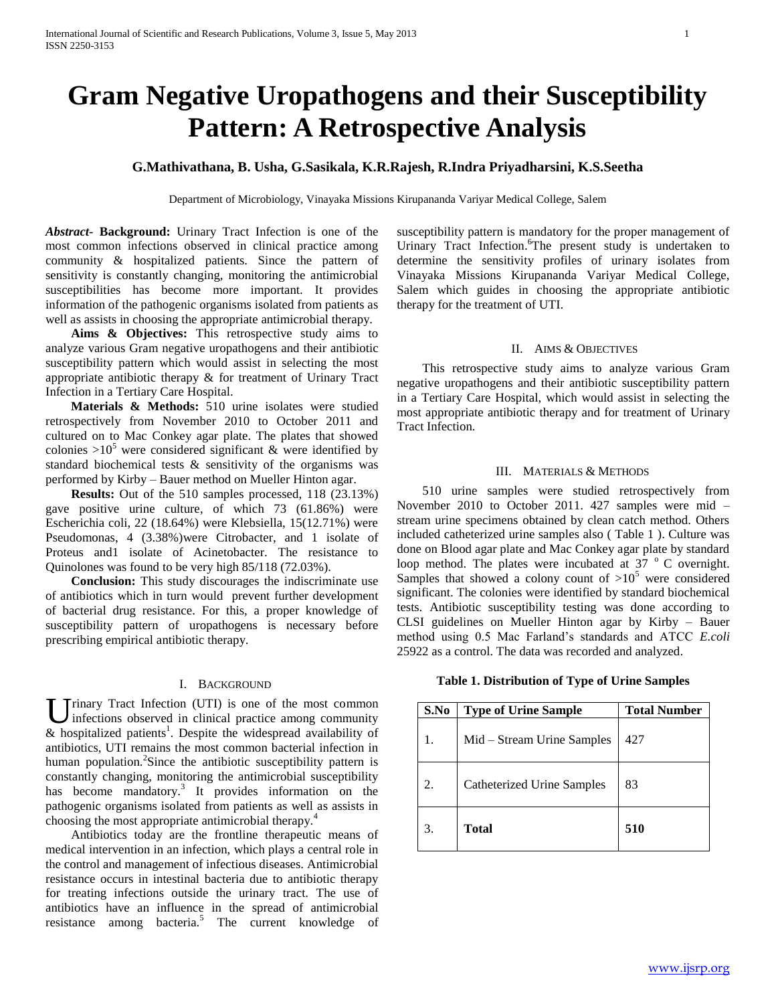# **Gram Negative Uropathogens and their Susceptibility Pattern: A Retrospective Analysis**

# **G.Mathivathana, B. Usha, G.Sasikala, K.R.Rajesh, R.Indra Priyadharsini, K.S.Seetha**

Department of Microbiology, Vinayaka Missions Kirupananda Variyar Medical College, Salem

*Abstract***- Background:** Urinary Tract Infection is one of the most common infections observed in clinical practice among community & hospitalized patients. Since the pattern of sensitivity is constantly changing, monitoring the antimicrobial susceptibilities has become more important. It provides information of the pathogenic organisms isolated from patients as well as assists in choosing the appropriate antimicrobial therapy.

 **Aims & Objectives:** This retrospective study aims to analyze various Gram negative uropathogens and their antibiotic susceptibility pattern which would assist in selecting the most appropriate antibiotic therapy & for treatment of Urinary Tract Infection in a Tertiary Care Hospital.

 **Materials & Methods:** 510 urine isolates were studied retrospectively from November 2010 to October 2011 and cultured on to Mac Conkey agar plate. The plates that showed colonies  $>10^5$  were considered significant & were identified by standard biochemical tests & sensitivity of the organisms was performed by Kirby – Bauer method on Mueller Hinton agar.

 **Results:** Out of the 510 samples processed, 118 (23.13%) gave positive urine culture, of which 73 (61.86%) were Escherichia coli, 22 (18.64%) were Klebsiella, 15(12.71%) were Pseudomonas, 4 (3.38%)were Citrobacter, and 1 isolate of Proteus and1 isolate of Acinetobacter. The resistance to Quinolones was found to be very high 85/118 (72.03%).

 **Conclusion:** This study discourages the indiscriminate use of antibiotics which in turn would prevent further development of bacterial drug resistance. For this, a proper knowledge of susceptibility pattern of uropathogens is necessary before prescribing empirical antibiotic therapy.

## I. BACKGROUND

U rinary Tract Infection (UTI) is one of the most common<br>infections observed in clinical practice among community infections observed in clinical practice among community  $&$  hospitalized patients<sup>1</sup>. Despite the widespread availability of antibiotics, UTI remains the most common bacterial infection in human population.<sup>2</sup>Since the antibiotic susceptibility pattern is constantly changing, monitoring the antimicrobial susceptibility has become mandatory.<sup>3</sup> It provides information on the pathogenic organisms isolated from patients as well as assists in choosing the most appropriate antimicrobial therapy.<sup>4</sup>

 Antibiotics today are the frontline therapeutic means of medical intervention in an infection, which plays a central role in the control and management of infectious diseases. Antimicrobial resistance occurs in intestinal bacteria due to antibiotic therapy for treating infections outside the urinary tract. The use of antibiotics have an influence in the spread of antimicrobial resistance among bacteria.<sup>5</sup> The current knowledge of

susceptibility pattern is mandatory for the proper management of Urinary Tract Infection. <sup>6</sup>The present study is undertaken to determine the sensitivity profiles of urinary isolates from Vinayaka Missions Kirupananda Variyar Medical College, Salem which guides in choosing the appropriate antibiotic therapy for the treatment of UTI.

# II. AIMS & OBJECTIVES

 This retrospective study aims to analyze various Gram negative uropathogens and their antibiotic susceptibility pattern in a Tertiary Care Hospital, which would assist in selecting the most appropriate antibiotic therapy and for treatment of Urinary Tract Infection.

## III. MATERIALS & METHODS

 510 urine samples were studied retrospectively from November 2010 to October 2011. 427 samples were mid – stream urine specimens obtained by clean catch method. Others included catheterized urine samples also ( Table 1 ). Culture was done on Blood agar plate and Mac Conkey agar plate by standard loop method. The plates were incubated at  $37 \degree$  C overnight. Samples that showed a colony count of  $>10^5$  were considered significant. The colonies were identified by standard biochemical tests. Antibiotic susceptibility testing was done according to CLSI guidelines on Mueller Hinton agar by Kirby – Bauer method using 0.5 Mac Farland's standards and ATCC *E.coli*  25922 as a control. The data was recorded and analyzed.

**Table 1. Distribution of Type of Urine Samples**

| S.No | <b>Type of Urine Sample</b>       | <b>Total Number</b> |  |  |  |  |
|------|-----------------------------------|---------------------|--|--|--|--|
|      | Mid - Stream Urine Samples        | 427                 |  |  |  |  |
|      | <b>Catheterized Urine Samples</b> | 83                  |  |  |  |  |
|      | Total                             | 510                 |  |  |  |  |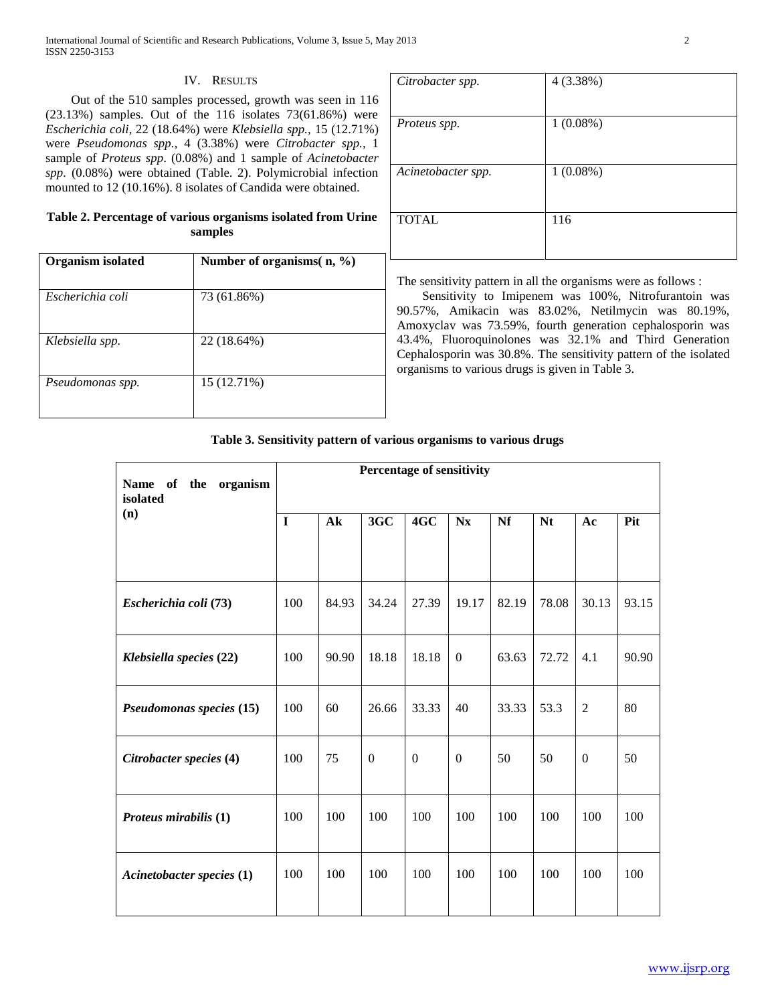International Journal of Scientific and Research Publications, Volume 3, Issue 5, May 2013 2 ISSN 2250-3153

## IV. RESULTS

 Out of the 510 samples processed, growth was seen in 116 (23.13%) samples. Out of the 116 isolates 73(61.86%) were *Escherichia coli*, 22 (18.64%) were *Klebsiella spp.,* 15 (12.71%) were *Pseudomonas spp.,* 4 (3.38%) were *Citrobacter spp.,* 1 sample of *Proteus spp*. (0.08%) and 1 sample of *Acinetobacter spp.* (0.08%) were obtained (Table. 2). Polymicrobial infection mounted to 12 (10.16%). 8 isolates of Candida were obtained.

# **Table 2. Percentage of various organisms isolated from Urine samples**

| Number of organisms( $n, \%$ ) |
|--------------------------------|
|                                |
|                                |
|                                |
|                                |

| Citrobacter spp.   | 4(3.38%)    |
|--------------------|-------------|
|                    |             |
| Proteus spp.       | $1(0.08\%)$ |
|                    |             |
| Acinetobacter spp. | $1(0.08\%)$ |
|                    |             |
| <b>TOTAL</b>       | 116         |
|                    |             |

The sensitivity pattern in all the organisms were as follows :

 Sensitivity to Imipenem was 100%, Nitrofurantoin was 90.57%, Amikacin was 83.02%, Netilmycin was 80.19%, Amoxyclav was 73.59%, fourth generation cephalosporin was 43.4%, Fluoroquinolones was 32.1% and Third Generation Cephalosporin was 30.8%. The sensitivity pattern of the isolated organisms to various drugs is given in Table 3.

# **Table 3. Sensitivity pattern of various organisms to various drugs**

| Name of the organism<br>isolated | <b>Percentage of sensitivity</b> |               |                |                |                |       |           |              |       |
|----------------------------------|----------------------------------|---------------|----------------|----------------|----------------|-------|-----------|--------------|-------|
| (n)                              | I                                | $A\mathbf{k}$ | 3GC            | 4GC            | <b>Nx</b>      | Nf    | <b>Nt</b> | Ac           | Pit   |
|                                  |                                  |               |                |                |                |       |           |              |       |
| Escherichia coli (73)            | 100                              | 84.93         | 34.24          | 27.39          | 19.17          | 82.19 | 78.08     | 30.13        | 93.15 |
| Klebsiella species (22)          | 100                              | 90.90         | 18.18          | 18.18          | $\mathbf{0}$   | 63.63 | 72.72     | 4.1          | 90.90 |
| Pseudomonas species (15)         | 100                              | 60            | 26.66          | 33.33          | 40             | 33.33 | 53.3      | 2            | 80    |
| Citrobacter species (4)          | 100                              | 75            | $\overline{0}$ | $\overline{0}$ | $\overline{0}$ | 50    | 50        | $\mathbf{0}$ | 50    |
| Proteus mirabilis (1)            | 100                              | 100           | 100            | 100            | 100            | 100   | 100       | 100          | 100   |
| Acinetobacter species (1)        | 100                              | 100           | 100            | 100            | 100            | 100   | 100       | 100          | 100   |